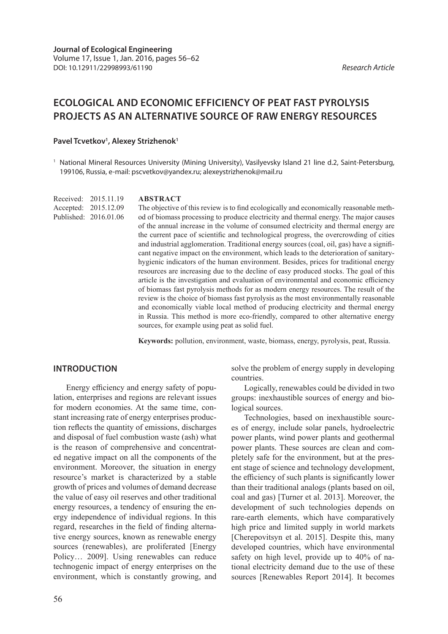# **ECOLOGICAL AND ECONOMIC EFFICIENCY OF PEAT FAST PYROLYSIS PROJECTS AS AN ALTERNATIVE SOURCE OF RAW ENERGY RESOURCES**

#### Pavel Tcvetkov<sup>1</sup>, Alexey Strizhenok<sup>1</sup>

<sup>1</sup> National Mineral Resources University (Mining University), Vasilyevsky Island 21 line d.2, Saint-Petersburg, 199106, Russia, e-mail: pscvetkov@yandex.ru; alexeystrizhenok@mail.ru

#### **ABSTRACT** Received: 2015.11.19

The objective of this review is to find ecologically and economically reasonable method of biomass processing to produce electricity and thermal energy. The major causes of the annual increase in the volume of consumed electricity and thermal energy are the current pace of scientific and technological progress, the overcrowding of cities and industrial agglomeration. Traditional energy sources (coal, oil, gas) have a significant negative impact on the environment, which leads to the deterioration of sanitaryhygienic indicators of the human environment. Besides, prices for traditional energy resources are increasing due to the decline of easy produced stocks. The goal of this article is the investigation and evaluation of environmental and economic efficiency of biomass fast pyrolysis methods for as modern energy resources. The result of the review is the choice of biomass fast pyrolysis as the most environmentally reasonable and economically viable local method of producing electricity and thermal energy in Russia. This method is more eco-friendly, compared to other alternative energy sources, for example using peat as solid fuel.

**Keywords:** pollution, environment, waste, biomass, energy, pyrolysis, peat, Russia.

# **INTRODUCTION**

Accepted: 2015.12.09 Published: 2016.01.06

Energy efficiency and energy safety of population, enterprises and regions are relevant issues for modern economies. At the same time, constant increasing rate of energy enterprises production reflects the quantity of emissions, discharges and disposal of fuel combustion waste (ash) what is the reason of comprehensive and concentrated negative impact on all the components of the environment. Moreover, the situation in energy resource's market is characterized by a stable growth of prices and volumes of demand decrease the value of easy oil reserves and other traditional energy resources, a tendency of ensuring the energy independence of individual regions. In this regard, researches in the field of finding alternative energy sources, known as renewable energy sources (renewables), are proliferated [Energy Policy… 2009]. Using renewables can reduce technogenic impact of energy enterprises on the environment, which is constantly growing, and

solve the problem of energy supply in developing countries.

Logically, renewables could be divided in two groups: inexhaustible sources of energy and biological sources.

Technologies, based on inexhaustible sources of energy, include solar panels, hydroelectric power plants, wind power plants and geothermal power plants. These sources are clean and completely safe for the environment, but at the present stage of science and technology development, the efficiency of such plants is significantly lower than their traditional analogs (plants based on oil, coal and gas) [Turner et al. 2013]. Moreover, the development of such technologies depends on rare-earth elements, which have comparatively high price and limited supply in world markets [Cherepovitsyn et al. 2015]. Despite this, many developed countries, which have environmental safety on high level, provide up to 40% of national electricity demand due to the use of these sources [Renewables Report 2014]. It becomes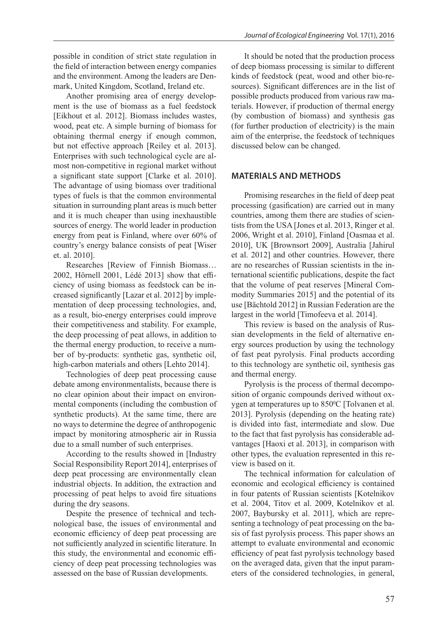possible in condition of strict state regulation in the field of interaction between energy companies and the environment. Among the leaders are Denmark, United Kingdom, Scotland, Ireland etc.

Another promising area of energy development is the use of biomass as a fuel feedstock [Eikhout et al. 2012]. Biomass includes wastes, wood, peat etc. A simple burning of biomass for obtaining thermal energy if enough common, but not effective approach [Reiley et al. 2013]. Enterprises with such technological cycle are almost non-competitive in regional market without a significant state support [Clarke et al. 2010]. The advantage of using biomass over traditional types of fuels is that the common environmental situation in surrounding plant areas is much better and it is much cheaper than using inexhaustible sources of energy. The world leader in production energy from peat is Finland, where over 60% of country's energy balance consists of peat [Wiser et. al. 2010].

Researches [Review of Finnish Biomass… 2002, Hörnell 2001, Lédé 2013] show that efficiency of using biomass as feedstock can be increased significantly [Lazar et al. 2012] by implementation of deep processing technologies, and, as a result, bio-energy enterprises could improve their competitiveness and stability. For example, the deep processing of peat allows, in addition to the thermal energy production, to receive a number of by-products: synthetic gas, synthetic oil, high-carbon materials and others [Lehto 2014].

Technologies of deep peat processing cause debate among environmentalists, because there is no clear opinion about their impact on environmental components (including the combustion of synthetic products). At the same time, there are no ways to determine the degree of anthropogenic impact by monitoring atmospheric air in Russia due to a small number of such enterprises.

According to the results showed in [Industry Social Responsibility Report 2014], enterprises of deep peat processing are environmentally clean industrial objects. In addition, the extraction and processing of peat helps to avoid fire situations during the dry seasons.

Despite the presence of technical and technological base, the issues of environmental and economic efficiency of deep peat processing are not sufficiently analyzed in scientific literature. In this study, the environmental and economic efficiency of deep peat processing technologies was assessed on the base of Russian developments.

It should be noted that the production process of deep biomass processing is similar to different kinds of feedstock (peat, wood and other bio-resources). Significant differences are in the list of possible products produced from various raw materials. However, if production of thermal energy (by combustion of biomass) and synthesis gas (for further production of electricity) is the main aim of the enterprise, the feedstock of techniques discussed below can be changed.

#### **MATERIALS AND METHODS**

Promising researches in the field of deep peat processing (gasification) are carried out in many countries, among them there are studies of scientists from the USA [Jones et al. 2013, Ringer et al. 2006, Wright et al. 2010], Finland [Oasmaa et al. 2010], UK [Brownsort 2009], Australia [Jahirul et al. 2012] and other countries. However, there are no researches of Russian scientists in the international scientific publications, despite the fact that the volume of peat reserves [Mineral Commodity Summaries 2015] and the potential of its use [Bächtold 2012] in Russian Federation are the largest in the world [Timofeeva et al. 2014].

This review is based on the analysis of Russian developments in the field of alternative energy sources production by using the technology of fast peat pyrolysis. Final products according to this technology are synthetic oil, synthesis gas and thermal energy.

Pyrolysis is the process of thermal decomposition of organic compounds derived without oxygen at temperatures up to  $850^{\circ}$ C [Tolvanen et al. 2013]. Pyrolysis (depending on the heating rate) is divided into fast, intermediate and slow. Due to the fact that fast pyrolysis has considerable advantages [Haoxi et al. 2013], in comparison with other types, the evaluation represented in this review is based on it.

The technical information for calculation of economic and ecological efficiency is contained in four patents of Russian scientists [Kotelnikov et al. 2004, Titov et al. 2009, Kotelnikov et al. 2007, Baybursky et al. 2011], which are representing a technology of peat processing on the basis of fast pyrolysis process. This paper shows an attempt to evaluate environmental and economic efficiency of peat fast pyrolysis technology based on the averaged data, given that the input parameters of the considered technologies, in general,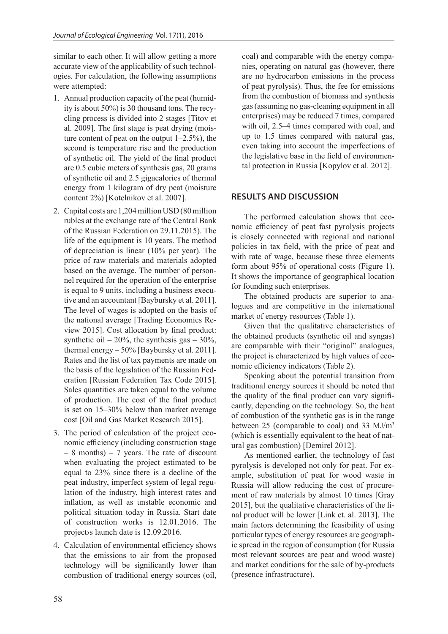similar to each other. It will allow getting a more accurate view of the applicability of such technologies. For calculation, the following assumptions were attempted:

- 1. Annual production capacity of the peat (humidity is about 50%) is 30 thousand tons. The recycling process is divided into 2 stages [Titov et al. 2009]. The first stage is peat drying (moisture content of peat on the output  $1-2.5\%$ ), the second is temperature rise and the production of synthetic oil. The yield of the final product are 0.5 cubic meters of synthesis gas, 20 grams of synthetic oil and 2.5 gigacalories of thermal energy from 1 kilogram of dry peat (moisture content 2%) [Kotelnikov et al. 2007].
- 2. Capital costs are 1,204million USD (80million rubles at the exchange rate of the Central Bank of the Russian Federation on 29.11.2015). The life of the equipment is 10 years. The method of depreciation is linear (10% per year). The price of raw materials and materials adopted based on the average. The number of personnel required for the operation of the enterprise is equal to 9 units, including a business executive and an accountant [Baybursky et al. 2011]. The level of wages is adopted on the basis of the national average [Trading Economics Review 2015]. Cost allocation by final product: synthetic oil –  $20\%$ , the synthesis gas –  $30\%$ , thermal energy  $-50\%$  [Baybursky et al. 2011]. Rates and the list of tax payments are made on the basis of the legislation of the Russian Federation [Russian Federation Tax Code 2015]. Sales quantities are taken equal to the volume of production. The cost of the final product is set on 15–30% below than market average cost [Oil and Gas Market Research 2015].
- 3. The period of calculation of the project economic efficiency (including construction stage  $-8$  months)  $-7$  years. The rate of discount when evaluating the project estimated to be equal to 23% since there is a decline of the peat industry, imperfect system of legal regulation of the industry, high interest rates and inflation, as well as unstable economic and political situation today in Russia. Start date of construction works is 12.01.2016. The project›s launch date is 12.09.2016.
- 4. Calculation of environmental efficiency shows that the emissions to air from the proposed technology will be significantly lower than combustion of traditional energy sources (oil,

coal) and comparable with the energy companies, operating on natural gas (however, there are no hydrocarbon emissions in the process of peat pyrolysis). Thus, the fee for emissions from the combustion of biomass and synthesis gas (assuming no gas-cleaning equipment in all enterprises) may be reduced 7 times, compared with oil, 2.5–4 times compared with coal, and up to 1.5 times compared with natural gas, even taking into account the imperfections of the legislative base in the field of environmental protection in Russia [Kopylov et al. 2012].

# **RESULTS AND DISCUSSION**

The performed calculation shows that economic efficiency of peat fast pyrolysis projects is closely connected with regional and national policies in tax field, with the price of peat and with rate of wage, because these three elements form about 95% of operational costs (Figure 1). It shows the importance of geographical location for founding such enterprises.

The obtained products are superior to analogues and are competitive in the international market of energy resources (Table 1).

Given that the qualitative characteristics of the obtained products (synthetic oil and syngas) are comparable with their "original" analogues, the project is characterized by high values of economic efficiency indicators (Table 2).

Speaking about the potential transition from traditional energy sources it should be noted that the quality of the final product can vary significantly, depending on the technology. So, the heat of combustion of the synthetic gas is in the range between 25 (comparable to coal) and 33 MJ/m<sup>3</sup> (which is essentially equivalent to the heat of natural gas combustion) [Demirel 2012].

As mentioned earlier, the technology of fast pyrolysis is developed not only for peat. For example, substitution of peat for wood waste in Russia will allow reducing the cost of procurement of raw materials by almost 10 times [Gray 2015], but the qualitative characteristics of the final product will be lower [Link et. al. 2013]. The main factors determining the feasibility of using particular types of energy resources are geographic spread in the region of consumption (for Russia most relevant sources are peat and wood waste) and market conditions for the sale of by-products (presence infrastructure).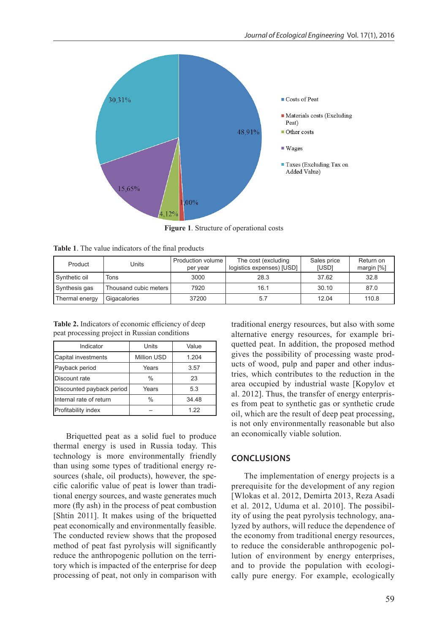

**Figure 1**. Structure of operational costs

| Table 1. The value indicators of the final products |  |
|-----------------------------------------------------|--|
|-----------------------------------------------------|--|

| Product        | Units                 | Production volume<br>per year | The cost (excluding<br>logistics expenses) [USD] | Sales price<br><b>[USD]</b> | Return on<br>margin $[%]$ |
|----------------|-----------------------|-------------------------------|--------------------------------------------------|-----------------------------|---------------------------|
| Synthetic oil  | Tons                  | 3000                          | 28.3                                             | 37.62                       | 32.8                      |
| Synthesis gas  | Thousand cubic meters | 7920                          | 16.1                                             | 30.10                       | 87.0                      |
| Thermal energy | Gigacalories          | 37200                         | 5.7                                              | 12.04                       | 110.8                     |

**Table 2.** Indicators of economic efficiency of deep peat processing project in Russian conditions

| Indicator                 | Units         | Value |
|---------------------------|---------------|-------|
| Capital investments       | Million USD   | 1.204 |
| Payback period            | Years         | 3.57  |
| Discount rate             | $\frac{0}{0}$ | 23    |
| Discounted payback period | Years         | 5.3   |
| Internal rate of return   | $\frac{0}{0}$ | 34.48 |
| Profitability index       |               | 1 22  |

Briquetted peat as a solid fuel to produce thermal energy is used in Russia today. This technology is more environmentally friendly than using some types of traditional energy resources (shale, oil products), however, the specific calorific value of peat is lower than traditional energy sources, and waste generates much more (fly ash) in the process of peat combustion [Shtin 2011]. It makes using of the briquetted peat economically and environmentally feasible. The conducted review shows that the proposed method of peat fast pyrolysis will significantly reduce the anthropogenic pollution on the territory which is impacted of the enterprise for deep processing of peat, not only in comparison with

traditional energy resources, but also with some alternative energy resources, for example briquetted peat. In addition, the proposed method gives the possibility of processing waste products of wood, pulp and paper and other industries, which contributes to the reduction in the area occupied by industrial waste [Kopylov et al. 2012]. Thus, the transfer of energy enterprises from peat to synthetic gas or synthetic crude oil, which are the result of deep peat processing, is not only environmentally reasonable but also an economically viable solution.

#### **CONCLUSIONS**

The implementation of energy projects is a prerequisite for the development of any region [Wlokas et al. 2012, Demirta 2013, Reza Asadi et al. 2012, Uduma et al. 2010]. The possibility of using the peat pyrolysis technology, analyzed by authors, will reduce the dependence of the economy from traditional energy resources, to reduce the considerable anthropogenic pollution of environment by energy enterprises, and to provide the population with ecologically pure energy. For example, ecologically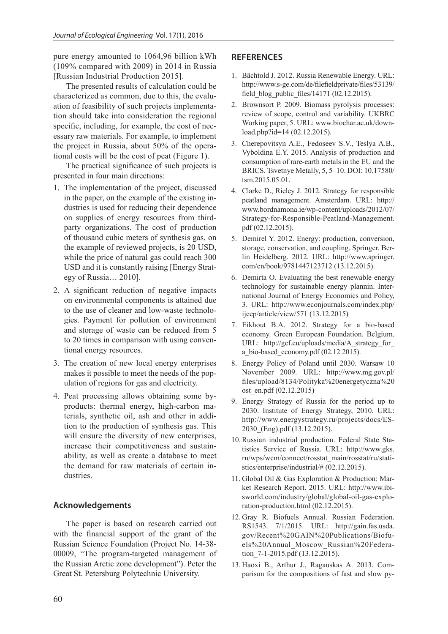pure energy amounted to 1064,96 billion kWh (109% compared with 2009) in 2014 in Russia [Russian Industrial Production 2015].

The presented results of calculation could be characterized as common, due to this, the evaluation of feasibility of such projects implementation should take into consideration the regional specific, including, for example, the cost of necessary raw materials. For example, to implement the project in Russia, about 50% of the operational costs will be the cost of peat (Figure 1).

The practical significance of such projects is presented in four main directions:

- 1. The implementation of the project, discussed in the paper, on the example of the existing industries is used for reducing their dependence on supplies of energy resources from thirdparty organizations. The cost of production of thousand cubic meters of synthesis gas, on the example of reviewed projects, is 20 USD, while the price of natural gas could reach 300 USD and it is constantly raising [Energy Strategy of Russia… 2010].
- 2. A significant reduction of negative impacts on environmental components is attained due to the use of cleaner and low-waste technologies. Payment for pollution of environment and storage of waste can be reduced from 5 to 20 times in comparison with using conventional energy resources.
- 3. The creation of new local energy enterprises makes it possible to meet the needs of the population of regions for gas and electricity.
- 4. Peat processing allows obtaining some byproducts: thermal energy, high-carbon materials, synthetic oil, ash and other in addition to the production of synthesis gas. This will ensure the diversity of new enterprises, increase their competitiveness and sustainability, as well as create a database to meet the demand for raw materials of certain industries.

# **Acknowledgements**

The paper is based on research carried out with the financial support of the grant of the Russian Science Foundation (Project No. 14-38- 00009, "The program-targeted management of the Russian Arctic zone development"). Peter the Great St. Petersburg Polytechnic University.

#### **REFERENCES**

- 1. Bächtold J. 2012. Russia Renewable Energy. URL: http://www.s-ge.com/de/filefieldprivate/files/53139/ field\_blog\_public\_files/14171 (02.12.2015).
- 2. Brownsort P. 2009. Biomass pyrolysis processes: review of scope, control and variability. UKBRC Working paper, 5. URL: www.biochar.ac.uk/download.php?id=14 (02.12.2015).
- 3. Cherepovitsyn A.E., Fedoseev S.V., Teslya A.B., Vyboldina E.Y. 2015. Analysis of production and consumption of rare-earth metals in the EU and the BRICS. Tsvetnye Metally, 5, 5–10. DOI: 10.17580/ tsm.2015.05.01.
- 4. Clarke D., Rieley J. 2012. Strategy for responsible peatland management. Amsterdam. URL: http:// www.bordnamona.ie/wp-content/uploads/2012/07/ Strategy-for-Responsible-Peatland-Management. pdf (02.12.2015).
- 5. Demirel Y. 2012. Energy: production, conversion, storage, conservation, and coupling. Springer. Berlin Heidelberg. 2012. URL: http://www.springer. com/cn/book/9781447123712 (13.12.2015).
- 6. Demirta O. Evaluating the best renewable energy technology for sustainable energy plannin. International Journal of Energy Economics and Policy, 3. URL: http://www.econjournals.com/index.php/ ijeep/article/view/571 (13.12.2015)
- 7. Eikhout B.A. 2012. Strategy for a bio-based economy. Green European Foundation. Belgium. URL: http://gef.eu/uploads/media/A\_strategy\_for\_ a bio-based economy.pdf (02.12.2015).
- 8. Energy Policy of Poland until 2030. Warsaw 10 November 2009. URL: http://www.mg.gov.pl/ files/upload/8134/Polityka%20energetyczna%20 ost en.pdf (02.12.2015)
- 9. Energy Strategy of Russia for the period up to 2030. Institute of Energy Strategy, 2010. URL: http://www.energystrategy.ru/projects/docs/ES-2030\_(Eng).pdf (13.12.2015).
- 10. Russian industrial production. Federal State Statistics Service of Russia. URL: http://www.gks. ru/wps/wcm/connect/rosstat\_main/rosstat/ru/statistics/enterprise/industrial/# (02.12.2015).
- 11. Global Oil & Gas Exploration & Production: Market Research Report. 2015. URL: http://www.ibisworld.com/industry/global/global-oil-gas-exploration-production.html (02.12.2015).
- 12. Gray R. Biofuels Annual. Russian Federation. RS1543. 7/1/2015. URL: http://gain.fas.usda. gov/Recent%20GAIN%20Publications/Biofuels%20Annual\_Moscow\_Russian%20Federation\_7-1-2015.pdf (13.12.2015).
- 13. Haoxi B., Arthur J., Ragauskas A. 2013. Comparison for the compositions of fast and slow py-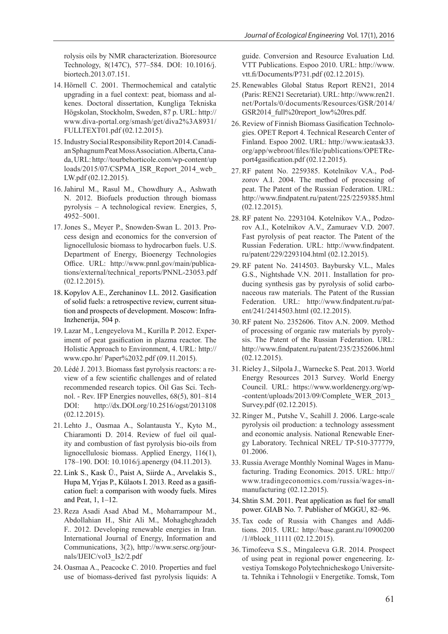rolysis oils by NMR characterization. Bioresource Technology, 8(147C), 577–584. DOI: 10.1016/j. biortech.2013.07.151.

- 14. Hörnell C. 2001. Thermochemical and catalytic upgrading in a fuel context: peat, biomass and alkenes. Doctoral dissertation, Kungliga Tekniska Högskolan, Stockholm, Sweden, 87 p. URL: http:// www.diva-portal.org/smash/get/diva2%3A8931/ FULLTEXT01.pdf (02.12.2015).
- 15. Industry Social Responsibility Report 2014. Canadian Sphagnum Peat Moss Association. Alberta, Canada, URL: http://tourbehorticole.com/wp-content/up loads/2015/07/CSPMA\_ISR\_Report\_2014\_web\_ LW.pdf (02.12.2015).
- 16.Jahirul M., Rasul M., Chowdhury A., Ashwath N. 2012. Biofuels production through biomass pyrolysis – A technological review. Energies, 5, 4952–5001.
- 17.Jones S., Meyer P., Snowden-Swan L. 2013. Process design and economics for the conversion of lignocellulosic biomass to hydrocarbon fuels. U.S. Department of Energy, Bioenergy Technologies Office. URL: http://www.pnnl.gov/main/publications/external/technical\_reports/PNNL-23053.pdf (02.12.2015).
- 18. Kopylov A.E., Zerchaninov I.L. 2012. Gasification of solid fuels: a retrospective review, current situation and prospects of development. Moscow: Infra-Inzhenerija, 504 p.
- 19. Lazar M., Lengeyelova M., Kurilla P. 2012. Experiment of peat gasification in plazma reactor. The Holistic Approach to Environment, 4. URL: http:// www.cpo.hr/ Paper%2032.pdf (09.11.2015).
- 20. Lédé J. 2013. Biomass fast pyrolysis reactors: a review of a few scientific challenges and of related recommended research topics. Oil Gas Sci. Technol. - Rev. IFP Energies nouvelles, 68(5), 801–814 DOI: http://dx.DOI.org/10.2516/ogst/2013108 (02.12.2015).
- 21. Lehto J., Oasmaa A., Solantausta Y., Kyto M., Chiaramonti D. 2014. Review of fuel oil quality and combustion of fast pyrolysis bio-oils from lignocellulosic biomass. Applied Energy, 116(1), 178–190. DOI: 10.1016/j.apenergy (04.11.2013).
- 22. Link S., Kask Ü., Paist A, Siirde A., Arvelakis S., Hupa M, Yrjas P., Külaots I. 2013. Reed as a gasification fuel: a comparison with woody fuels. Mires and Peat, 1, 1–12.
- 23. Reza Asadi Asad Abad M., Moharrampour M., Abdollahian H., Shir Ali M., Mohagheghzadeh F.. 2012. Developing renewable energies in Iran. International Journal of Energy, Information and Communications, 3(2), http://www.sersc.org/journals/IJEIC/vol3\_Is2/2.pdf
- 24. Oasmaa A., Peacocke C. 2010. Properties and fuel use of biomass-derived fast pyrolysis liquids: A

guide. Conversion and Resource Evaluation Ltd. VTT Publications. Espoo 2010. URL: http://www. vtt.fi/Documents/P731.pdf (02.12.2015).

- 25. Renewables Global Status Report REN21, 2014 (Paris: REN21 Secretariat). URL: http://www.ren21. net/Portals/0/documents/Resources/GSR/2014/ GSR2014\_full%20report\_low%20res.pdf.
- 26. Review of Finnish Biomass Gasification Technologies. OPET Report 4. Technical Research Center of Finland. Espoo 2002. URL: http://www.ieatask33. org/app/webroot/files/file/publications/OPETReport4gasification.pdf (02.12.2015).
- 27. RF patent No. 2259385. Kotelnikov V.A., Podzorov A.I. 2004. The method of processing of peat. The Patent of the Russian Federation. URL: http://www.findpatent.ru/patent/225/2259385.html (02.12.2015).
- 28. RF patent No. 2293104. Kotelnikov V.A., Podzorov A.I., Kotelnikov A.V., Zamuraev V.D. 2007. Fast pyrolysis of peat reactor. The Patent of the Russian Federation. URL: http://www.findpatent. ru/patent/229/2293104.html (02.12.2015).
- 29. RF patent No. 2414503. Baybursky V.L., Males G.S., Nightshade V.N. 2011. Installation for producing synthesis gas by pyrolysis of solid carbonaceous raw materials. The Patent of the Russian Federation. URL: http://www.findpatent.ru/patent/241/2414503.html (02.12.2015).
- 30. RF patent No. 2352606. Titov A.N. 2009. Method of processing of organic raw materials by pyrolysis. The Patent of the Russian Federation. URL: http://www.findpatent.ru/patent/235/2352606.html (02.12.2015).
- 31. Rieley J., Silpola J., Warnecke S. Peat. 2013. World Energy Resources 2013 Survey. World Energy Council. URL: https://www.worldenergy.org/wp- -content/uploads/2013/09/Complete\_WER\_2013\_ Survey.pdf (02.12.2015).
- 32. Ringer M., Putshe V., Scahill J. 2006. Large-scale pyrolysis oil production: a technology assessment and economic analysis. National Renewable Energy Laboratory. Technical NREL/ TP-510-377779, 01.2006.
- 33. Russia Average Monthly Nominal Wages in Manufacturing. Trading Economics. 2015. URL: http:// www.tradingeconomics.com/russia/wages-inmanufacturing (02.12.2015).
- 34. Shtin S.M. 2011. Peat application as fuel for small power. GIAB No. 7. Publisher of MGGU, 82–96.
- 35. Tax code of Russia with Changes and Additions. 2015. URL: http://base.garant.ru/10900200 /1/#block\_11111 (02.12.2015).
- 36. Timofeeva S.S., Mingaleeva G.R. 2014. Prospect of using peat in regional power engeneering. Izvestiya Tomskogo Polytechnicheskogo Universiteta. Tehnika i Tehnologii v Energetike. Tomsk, Tom